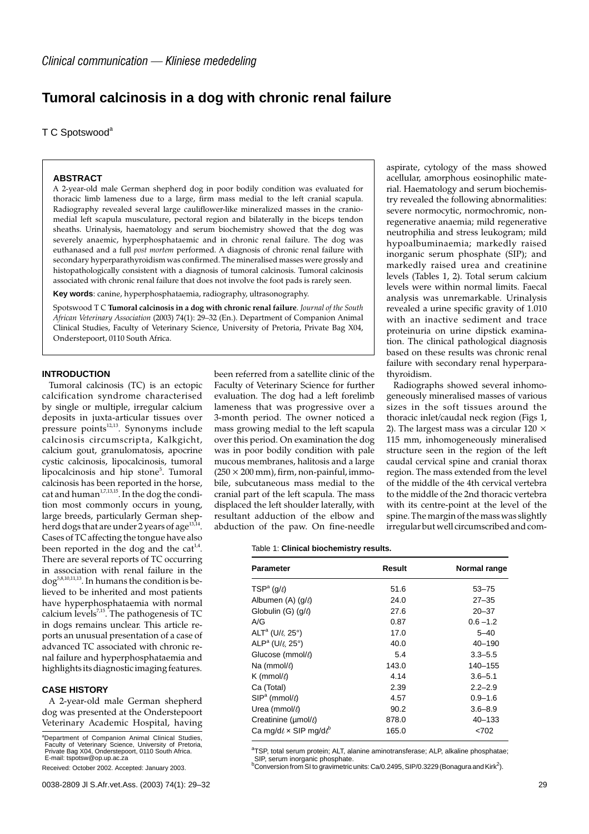# **Tumoral calcinosis in a dog with chronic renal failure**

T C Spotswood<sup>a</sup>

## **ABSTRACT**

A 2-year-old male German shepherd dog in poor bodily condition was evaluated for thoracic limb lameness due to a large, firm mass medial to the left cranial scapula. Radiography revealed several large cauliflower-like mineralized masses in the craniomedial left scapula musculature, pectoral region and bilaterally in the biceps tendon sheaths.Urinalysis, haematology and serum biochemistry showed that the dog was severely anaemic, hyperphosphataemic and in chronic renal failure. The dog was euthanased and a full *post mortem* performed. A diagnosis of chronic renal failure with secondary hyperparathyroidism was confirmed.The mineralised masses were grossly and histopathologically consistent with a diagnosis of tumoral calcinosis. Tumoral calcinosis associated with chronic renal failure that does not involve the foot pads is rarely seen.

**Key words**: canine, hyperphosphataemia, radiography, ultrasonography.

Spotswood T C **Tumoral calcinosis in a dog with chronic renal failure**. *Journal of the South African Veterinary Association* (2003) 74(1): 29–32 (En.). Department of Companion Animal Clinical Studies, Faculty of Veterinary Science, University of Pretoria, Private Bag X04, Onderstepoort, 0110 South Africa.

# **INTRODUCTION**

Tumoral calcinosis (TC) is an ectopic calcification syndrome characterised by single or multiple, irregular calcium deposits in juxta-articular tissues over pressure points $12,13$ . Synonyms include calcinosis circumscripta, Kalkgicht, calcium gout, granulomatosis, apocrine cystic calcinosis, lipocalcinosis, tumoral lipocalcinosis and hip stone<sup>5</sup>. Tumoral calcinosis has been reported in the horse, cat and human $1,7,13,15}$ . In the dog the condition most commonly occurs in young, large breeds, particularly German shepherd dogs that are under 2 years of age<sup>13,14</sup>. Cases of TC affecting the tongue have also been reported in the dog and the cat<sup>1,4</sup>. There are several reports of TC occurring in association with renal failure in the  $\text{dog}^{5,8,10,11,13}$ . In humans the condition is believed to be inherited and most patients have hyperphosphataemia with normal calcium levels<sup>7,15</sup>. The pathogenesis of TC in dogs remains unclear.This article reports an unusual presentation of a case of advanced TC associated with chronic renal failure and hyperphosphataemia and highlights its diagnostic imaging features.

# **CASE HISTORY**

A 2-year-old male German shepherd dog was presented at the Onderstepoort Veterinary Academic Hospital, having

<sup>a</sup>Department of Companion Animal Clinical Studies, Faculty of Veterinary Science, University of Pretoria, Private Bag X04, Onderstepoort, 0110 South Africa. E-mail: tspotsw@op.up.ac.za

Received: October 2002. Accepted: January 2003.

been referred from a satellite clinic of the Faculty of Veterinary Science for further evaluation.The dog had a left forelimb lameness that was progressive over a 3-month period. The owner noticed a mass growing medial to the left scapula over this period.On examination the dog was in poor bodily condition with pale mucous membranes, halitosis and a large  $(250 \times 200 \text{ mm})$ , firm, non-painful, immobile, subcutaneous mass medial to the cranial part of the left scapula.The mass displaced the left shoulder laterally, with resultant adduction of the elbow and abduction of the paw.On fine-needle

#### Table 1: **Clinical biochemistry results.**

| <b>Parameter</b>                        | Result | Normal range |
|-----------------------------------------|--------|--------------|
| $TSPa$ (g/ $\ell$ )                     | 51.6   | $53 - 75$    |
| Albumen $(A)$ $(g/t)$                   | 24.0   | $27 - 35$    |
| Globulin (G) $(q/\ell)$                 | 27.6   | $20 - 37$    |
| A/G                                     | 0.87   | $0.6 - 1.2$  |
| ALT <sup>a</sup> (U/ $\ell$ , 25°)      | 17.0   | $5 - 40$     |
| ALP <sup>a</sup> (U/ $\ell$ , 25°)      | 40.0   | $40 - 190$   |
| Glucose (mmol/6)                        | 5.4    | $3.3 - 5.5$  |
| Na (mmol/ $\ell$ )                      | 143.0  | 140-155      |
| K (mmol/ $\ell$ )                       | 4.14   | $3.6 - 5.1$  |
| Ca (Total)                              | 2.39   | $2.2 - 2.9$  |
| $SIP^a$ (mmol/ $\ell$ )                 | 4.57   | $0.9 - 1.6$  |
| Urea (mmol/ $\ell$ )                    | 90.2   | $3.6 - 8.9$  |
| Creatinine ( $\mu$ mol/ $\ell$ )        | 878.0  | $40 - 133$   |
| Ca mg/d $\ell \times$ SIP mg/d $\ell^b$ | 165.0  | < 702        |

<sup>a</sup>TSP, total serum protein; ALT, alanine aminotransferase; ALP, alkaline phosphatae; SIP, serum inorganic phosphate.

 $^{\rm b}$ Conversion from SI to gravimetric units: Ca/0.2495, SIP/0.3229 (Bonagura and Kirk<sup>2</sup>).

aspirate, cytology of the mass showed acellular, amorphous eosinophilic material. Haematology and serum biochemistry revealed the following abnormalities: severe normocytic, normochromic, nonregenerative anaemia; mild regenerative neutrophilia and stress leukogram; mild hypoalbuminaemia; markedly raised inorganic serum phosphate (SIP); and markedly raised urea and creatinine levels (Tables 1, 2).Total serum calcium levels were within normal limits. Faecal analysis was unremarkable.Urinalysis revealed a urine specific gravity of 1.010 with an inactive sediment and trace proteinuria on urine dipstick examination.The clinical pathological diagnosis based on these results was chronic renal failure with secondary renal hyperparathyroidism.

Radiographs showed several inhomogeneously mineralised masses of various sizes in the soft tissues around the thoracic inlet/caudal neck region (Figs 1, 2). The largest mass was a circular 120  $\times$ 115 mm, inhomogeneously mineralised structure seen in the region of the left caudal cervical spine and cranial thorax region.The mass extended from the level of the middle of the 4th cervical vertebra to the middle of the 2nd thoracic vertebra with its centre-point at the level of the spine.The margin of the mass was slightly irregular but well circumscribed and com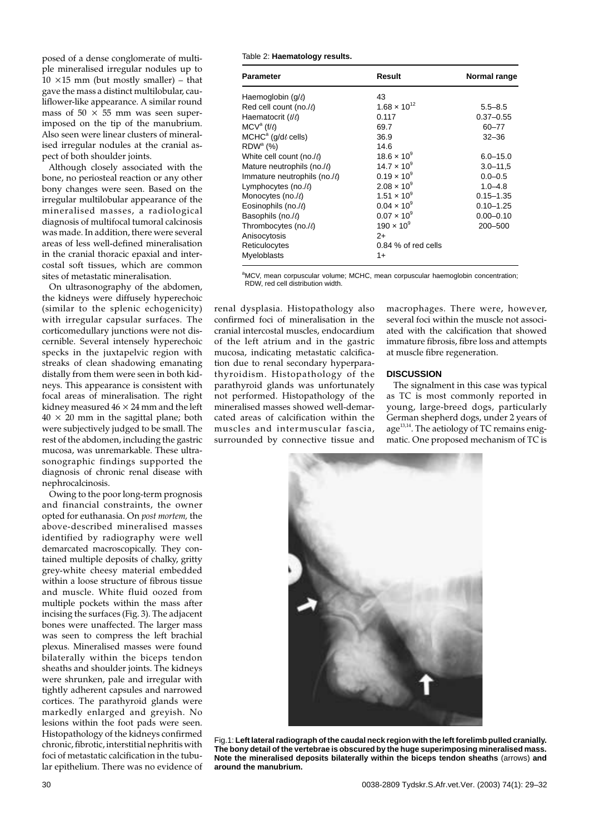posed of a dense conglomerate of multiple mineralised irregular nodules up to  $10 \times 15$  mm (but mostly smaller) – that gave the mass a distinct multilobular, cauliflower-like appearance. A similar round mass of  $50 \times 55$  mm was seen superimposed on the tip of the manubrium. Also seen were linear clusters of mineralised irregular nodules at the cranial aspect of both shoulder joints.

Although closely associated with the bone, no periosteal reaction or any other bony changes were seen. Based on the irregular multilobular appearance of the mineralised masses, a radiological diagnosis of multifocal tumoral calcinosis was made.In addition, there were several areas of less well-defined mineralisation in the cranial thoracic epaxial and intercostal soft tissues, which are common sites of metastatic mineralisation.

On ultrasonography of the abdomen, the kidneys were diffusely hyperechoic (similar to the splenic echogenicity) with irregular capsular surfaces. The corticomedullary junctions were not discernible. Several intensely hyperechoic specks in the juxtapelvic region with streaks of clean shadowing emanating distally from them were seen in both kidneys.This appearance is consistent with focal areas of mineralisation.The right kidney measured  $46 \times 24$  mm and the left  $40 \times 20$  mm in the sagittal plane; both were subjectively judged to be small.The rest of the abdomen, including the gastric mucosa, was unremarkable.These ultrasonographic findings supported the diagnosis of chronic renal disease with nephrocalcinosis.

Owing to the poor long-term prognosis and financial constraints, the owner opted for euthanasia.On *post mortem,* the above-described mineralised masses identified by radiography were well demarcated macroscopically. They contained multiple deposits of chalky, gritty grey-white cheesy material embedded within a loose structure of fibrous tissue and muscle.White fluid oozed from multiple pockets within the mass after incising the surfaces (Fig.3).The adjacent bones were unaffected. The larger mass was seen to compress the left brachial plexus. Mineralised masses were found bilaterally within the biceps tendon sheaths and shoulder joints.The kidneys were shrunken, pale and irregular with tightly adherent capsules and narrowed cortices.The parathyroid glands were markedly enlarged and greyish.No lesions within the foot pads were seen. Histopathology of the kidneys confirmed chronic, fibrotic, interstitial nephritis with foci of metastatic calcification in the tubular epithelium.There was no evidence of Table 2: **Haematology results.**

| <b>Parameter</b>                    | Result                | Normal range  |
|-------------------------------------|-----------------------|---------------|
| Haemoglobin $(g/\ell)$              | 43                    |               |
| Red cell count (no./ $\ell$ )       | $1.68 \times 10^{12}$ | $5.5 - 8.5$   |
| Haematocrit (l/l)                   | 0.117                 | $0.37 - 0.55$ |
| $MCV^a$ (f/ $\ell$ )                | 69.7                  | 60-77         |
| $MCHCa$ (g/d $\ell$ cells)          | 36.9                  | $32 - 36$     |
| $RDWa$ (%)                          | 14.6                  |               |
| White cell count (no./6)            | $18.6 \times 10^{9}$  | $6.0 - 15.0$  |
| Mature neutrophils (no./6)          | $14.7 \times 10^{9}$  | $3.0 - 11.5$  |
| Immature neutrophils (no./ $\ell$ ) | $0.19 \times 10^{9}$  | $0.0 - 0.5$   |
| Lymphocytes (no./ $\ell$ )          | $2.08 \times 10^{9}$  | $1.0 - 4.8$   |
| Monocytes (no./l)                   | $1.51 \times 10^{9}$  | $0.15 - 1.35$ |
| Eosinophils (no./ $\ell$ )          | $0.04 \times 10^{9}$  | $0.10 - 1.25$ |
| Basophils (no.//)                   | $0.07 \times 10^{9}$  | $0.00 - 0.10$ |
| Thrombocytes (no./l)                | $190 \times 10^{9}$   | 200-500       |
| Anisocytosis                        | $2+$                  |               |
| Reticulocytes                       | $0.84\%$ of red cells |               |
| <b>Myeloblasts</b>                  | $1+$                  |               |

aMCV, mean corpuscular volume; MCHC, mean corpuscular haemoglobin concentration; RDW, red cell distribution width.

renal dysplasia. Histopathology also confirmed foci of mineralisation in the cranial intercostal muscles, endocardium of the left atrium and in the gastric mucosa, indicating metastatic calcification due to renal secondary hyperparathyroidism. Histopathology of the parathyroid glands was unfortunately not performed. Histopathology of the mineralised masses showed well-demarcated areas of calcification within the muscles and intermuscular fascia, surrounded by connective tissue and

macrophages. There were, however, several foci within the muscle not associated with the calcification that showed immature fibrosis, fibre loss and attempts at muscle fibre regeneration.

## **DISCUSSION**

The signalment in this case was typical as TC is most commonly reported in young, large-breed dogs, particularly German shepherd dogs, under 2 years of age $^{13,14}$ . The aetiology of TC remains enigmatic.One proposed mechanism of TC is



Fig.1: **Left lateral radiograph of the caudal neck region with the left forelimb pulled cranially. The bony detail of the vertebrae is obscured by the huge superimposing mineralised mass. Note the mineralised deposits bilaterally within the biceps tendon sheaths** (arrows) **and around the manubrium.**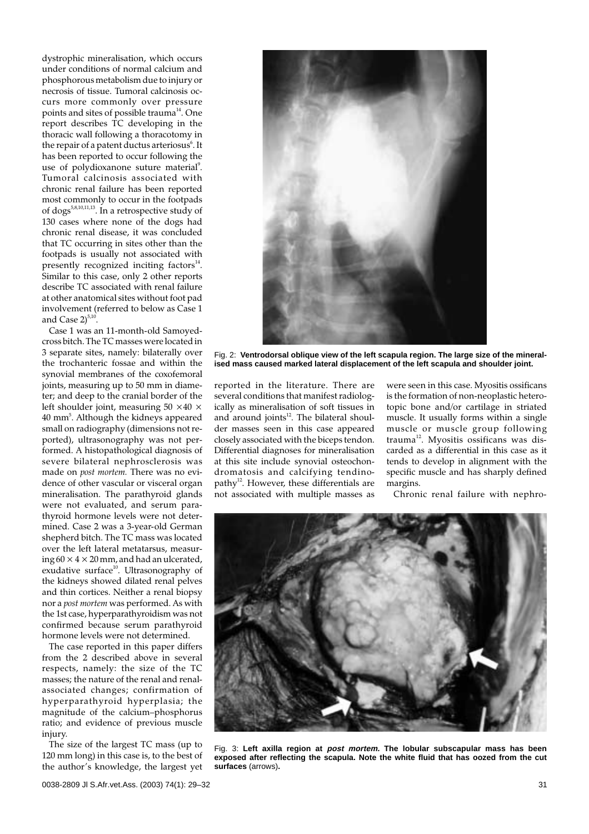dystrophic mineralisation, which occurs under conditions of normal calcium and phosphorous metabolism due to injury or necrosis of tissue.Tumoral calcinosis occurs more commonly over pressure points and sites of possible trauma<sup>14</sup>. One report describes TC developing in the thoracic wall following a thoracotomy in the repair of a patent ductus arteriosus $^6$ . It has been reported to occur following the use of polydioxanone suture material<sup>9</sup>. Tumoral calcinosis associated with chronic renal failure has been reported most commonly to occur in the footpads of dogs<sup>5,8,10,11,13</sup>. In a retrospective study of 130 cases where none of the dogs had chronic renal disease, it was concluded that TC occurring in sites other than the footpads is usually not associated with presently recognized inciting  $factors<sup>14</sup>$ . Similar to this case, only 2 other reports describe TC associated with renal failure at other anatomical sites without foot pad involvement (referred to below as Case 1 and Case  $2)^{5,10}$ .

Case 1 was an 11-month-old Samoyedcross bitch.The TC masses were located in 3 separate sites, namely: bilaterally over the trochanteric fossae and within the synovial membranes of the coxofemoral joints, measuring up to 50 mm in diameter; and deep to the cranial border of the left shoulder joint, measuring 50  $\times$  40  $\times$  $40$  mm $^5$ . Although the kidneys appeared small on radiography (dimensions not reported), ultrasonography was not performed.A histopathological diagnosis of severe bilateral nephrosclerosis was made on *post mortem.* There was no evidence of other vascular or visceral organ mineralisation.The parathyroid glands were not evaluated, and serum parathyroid hormone levels were not determined.Case 2 was a 3-year-old German shepherd bitch. The TC mass was located over the left lateral metatarsus, measuring  $60 \times 4 \times 20$  mm, and had an ulcerated, exudative surface $10$ . Ultrasonography of the kidneys showed dilated renal pelves and thin cortices. Neither a renal biopsy nor a *post mortem* was performed.As with the 1st case, hyperparathyroidism was not confirmed because serum parathyroid hormone levels were not determined.

The case reported in this paper differs from the 2 described above in several respects, namely: the size of the TC masses; the nature of the renal and renalassociated changes; confirmation of hyperparathyroid hyperplasia; the magnitude of the calcium–phosphorus ratio; and evidence of previous muscle injury.

The size of the largest TC mass (up to 120 mm long) in this case is, to the best of the author's knowledge, the largest yet



Fig. 2: **Ventrodorsal oblique view of the left scapula region. The large size of the mineralised mass caused marked lateral displacement of the left scapula and shoulder joint.**

reported in the literature. There are several conditions that manifest radiologically as mineralisation of soft tissues in and around joints $12$ . The bilateral shoulder masses seen in this case appeared closely associated with the biceps tendon. Differential diagnoses for mineralisation at this site include synovial osteochondromatosis and calcifying tendinopathy<sup>12</sup>. However, these differentials are not associated with multiple masses as were seen in this case.Myositis ossificans is the formation of non-neoplastic heterotopic bone and/or cartilage in striated muscle.It usually forms within a single muscle or muscle group following trauma<sup>12</sup>. Myositis ossificans was discarded as a differential in this case as it tends to develop in alignment with the specific muscle and has sharply defined margins.

Chronic renal failure with nephro-



Fig. 3: **Left axilla region at post mortem. The lobular subscapular mass has been exposed after reflecting the scapula. Note the white fluid that has oozed from the cut surfaces** (arrows)**.**